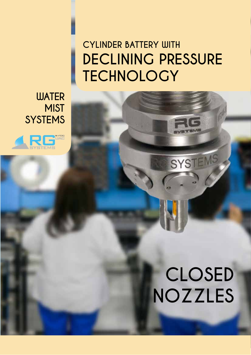### **CYLINDER BATTERY WITH DECLINING PRESSURE TECHNOLOGY**

**WATER MIST SYSTEMS**



## **CLOSED NOZZLES**

SYSTEMS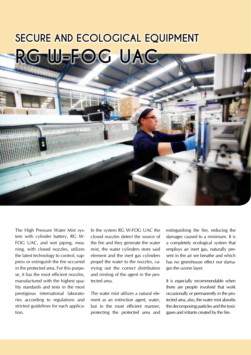### **SECURE AND ECOLOGICAL EQUIPMENT RG W-FOG UAC**

The High Pressure Water Mist system with cylinder battery, RG W-FOG UAC, and wet piping, meaning, with closed nozzles, utilizes the latest technology to control, suppress or extinguish the fire occurred in the protected area. For this purpose, it has the most efficient nozzles, manufactured with the highest quality standards and tests in the most prestigious international laboratories according to regulations and strictest guidelines for each application.

In the system RG W-FOG UAC the closed nozzles detect the source of the fire and they generate the water mist, the water cylinders store said element and the inert gas cylinders propel the water to the nozzles, carrying out the correct distribution and misting of the agent in the protected area.

The water mist utilizes a natural element as an extinction agent, water, but in the most efficient manner, protecting the protected area and extinguishing the fire, reducing the damages caused to a minimum. It is a completely ecological system that employs an inert gas, naturally present in the air we breathe and which has no greenhouse effect nor damages the ozone layer.

It is especially recommendable when there are people involved that work occasionally or permanently in the protected area, also, the water mist absorbs the decomposing particles and the toxic gases and irritants created by the fire.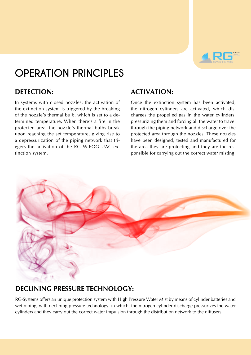

### **OPERATION PRINCIPLES**

### **DETECTION:**

In systems with closed nozzles, the activation of the extinction system is triggered by the breaking of the nozzle's thermal bulb, which is set to a determined temperature. When there's a fire in the protected area, the nozzle's thermal bulbs break upon reaching the set temperature, giving rise to a depressurization of the piping network that triggers the activation of the RG W-FOG UAC extinction system.

### **ACTIVATION:**

Once the extinction system has been activated, the nitrogen cylinders are activated, which discharges the propelled gas in the water cylinders, pressurizing them and forcing all the water to travel through the piping network and discharge over the protected area through the nozzles. These nozzles have been designed, tested and manufactured for the area they are protecting and they are the responsible for carrying out the correct water misting.



### **DECLINING PRESSURE TECHNOLOGY:**

RG-Systems offers an unique protection system with High Pressure Water Mist by means of cylinder batteries and wet piping, with declining pressure technology, in which, the nitrogen cylinder discharge pressurizes the water cylinders and they carry out the correct water impulsion through the distribution network to the diffusers.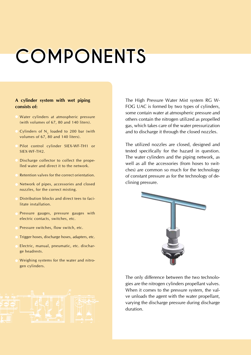## **COMPONENTS**

#### **A cylinder system with wet piping consists of:**

- Water cylinders at atmospheric pressure (with volumes of 67, 80 and 140 liters).
- Cylinders of  $N<sub>2</sub>$  loaded to 200 bar (with volumes of 67, 80 and 140 liters).
- Pilot control cylinder SIEX-WF-TH1 or SIEX-WF-TH2.
- Discharge collector to collect the propelled water and direct it to the network.
- Retention valves for the correct orientation.
- Network of pipes, accessories and closed nozzles, for the correct misting.
- Distribution blocks and direct tees to facilitate installation.
- Pressure gauges, pressure gauges with electric contacts, switches, etc.
- Pressure switches, flow switch, etc.
- Trigger hoses, discharge hoses, adapters, etc.
- Electric, manual, pneumatic, etc. discharge headrests.
- Weighing systems for the water and nitrogen cylinders.



The High Pressure Water Mist system RG W-FOG UAC is formed by two types of cylinders, some contain water at atmospheric pressure and others contain the nitrogen utilized as propelled gas, which takes care of the water pressurization and to discharge it through the closed nozzles.

The utilized nozzles are closed, designed and tested specifically for the hazard in question. The water cylinders and the piping network, as well as all the accessories (from hoses to switches) are common so much for the technology of constant pressure as for the technology of declining pressure.



The only difference between the two technologies are the nitrogen cylinders propellant valves. When it comes to the pressure system, the valve unloads the agent with the water propellant, varying the discharge pressure during discharge duration.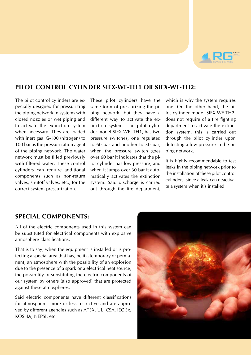

### **PILOT CONTROL CYLINDER SIEX-WF-TH1 or SIEX-WF-TH2:**

The pilot control cylinders are especially designed for pressurizing the piping network in systems with closed nozzles or wet piping and to activate the extinction system when necessary. They are loaded with inert gas IG-100 (nitrogen) to 100 bar as the pressurization agent of the piping network. The water network must be filled previously with filtered water. These control cylinders can require additional components such as non-return valves, shutoff valves, etc., for the correct system pressurization.

These pilot cylinders have the same form of pressurizing the piping network, but they have a different way to activate the extinction system. The pilot cylinder model SIEX-WF- TH1, has two pressure switches, one regulated to 60 bar and another to 30 bar, when the pressure switch goes over 60 bar it indicates that the pilot cylinder has low pressure, and when it jumps over 30 bar it automatically activates the extinction system. Said discharge is carried out through the fire department,

which is why the system requires one. On the other hand, the pilot cylinder model SIEX-WF-TH2, does not require of a fire fighting department to activate the extinction system, this is carried out through the pilot cylinder upon detecting a low pressure in the piping network.

It is highly recommendable to test leaks in the piping network prior to the installation of these pilot control cylinders, since a leak can deactivate a system when it's installed.

### **SPECIAL COMPONENTS:**

All of the electric components used in this system can be substituted for electrical components with explosive atmosphere classifications.

That is to say, when the equipment is installed or is protecting a special area that has, be it a temporary or permanent, an atmosphere with the possibility of an explosion due to the presence of a spark or a electrical heat source, the possibility of substituting the electric components of our system by others (also approved) that are protected against these atmospheres.

Said electric components have different classifications for atmospheres more or less restrictive and are approved by different agencies such as ATEX, UL, CSA, IEC Ex, KOSHA, NEPSI, etc.